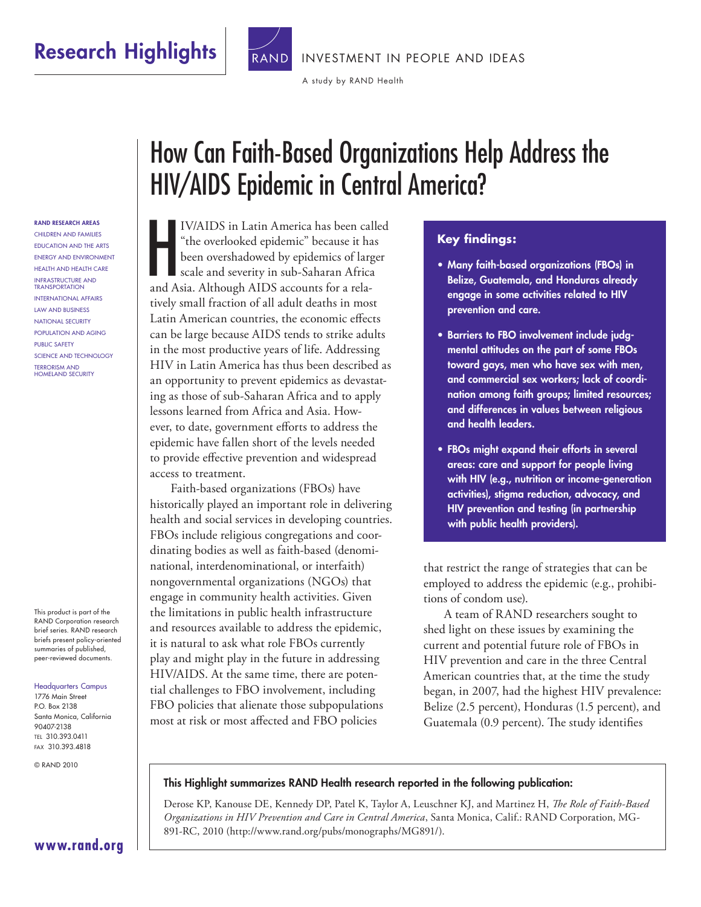

[INVESTMENT IN PEOPLE AND IDEAS](http://www.rand.org/pdfrd/feature/independent/)

[A study by RAND Health](http://www.rand.org/pdfrd/health/)

RAND RESEARCH AREAS Children and Families EDUCATION AND THE ARTS ENERGY AND ENVIRONMENT HEALTH AND HEALTH CARE INFRASTRUCTURE AND **TRANSPORTATION INTERNATIONAL AFFAIRS** Law and Business NATIONAL SECURITY POPULATION AND AGING Public Safety SCIENCE AND TECHNOLOGY **TERRORISM AND** HOMELAND SECURITY

This product is part of the RAND Corporation research brief series. RAND research briefs present policy-oriented summaries of published, peer-reviewed documents.

#### Headquarters Campus

1776 Main Street P.O. Box 2138 Santa Monica, California 90407-2138 Tel 310.393.0411 Fax 310.393.4818

© RAND 2010

# How Can Faith-Based Organizations Help Address the HIV/AIDS Epidemic in Central America?

 $\frac{1}{\sqrt{1}}$ IV/AIDS in Latin America has been called "the overlooked epidemic" because it has been overshadowed by epidemics of larger scale and severity in sub-Saharan Africa and Asia. Although AIDS accounts for a relatively small fraction of all adult deaths in most Latin American countries, the economic effects can be large because AIDS tends to strike adults in the most productive years of life. Addressing HIV in Latin America has thus been described as an opportunity to prevent epidemics as devastating as those of sub-Saharan Africa and to apply lessons learned from Africa and Asia. However, to date, government efforts to address the epidemic have fallen short of the levels needed to provide effective prevention and widespread access to treatment.

Faith-based organizations (FBOs) have historically played an important role in delivering health and social services in developing countries. FBOs include religious congregations and coordinating bodies as well as faith-based (denominational, interdenominational, or interfaith) nongovernmental organizations (NGOs) that engage in community health activities. Given the limitations in public health infrastructure and resources available to address the epidemic, it is natural to ask what role FBOs currently play and might play in the future in addressing HIV/AIDS. At the same time, there are potential challenges to FBO involvement, including FBO policies that alienate those subpopulations most at risk or most affected and FBO policies

#### **Key findings:**

- Many faith-based organizations (FBOs) in Belize, Guatemala, and Honduras already engage in some activities related to HIV prevention and care.
- Barriers to FBO involvement include judgmental attitudes on the part of some FBOs toward gays, men who have sex with men, and commercial sex workers; lack of coordination among faith groups; limited resources; and differences in values between religious and health leaders.
- FBOs might expand their efforts in several areas: care and support for people living with HIV (e.g., nutrition or income-generation activities), stigma reduction, advocacy, and HIV prevention and testing (in partnership with public health providers).

that restrict the range of strategies that can be employed to address the epidemic (e.g., prohibitions of condom use).

A team of RAND researchers sought to shed light on these issues by examining the current and potential future role of FBOs in HIV prevention and care in the three Central American countries that, at the time the study began, in 2007, had the highest HIV prevalence: Belize (2.5 percent), Honduras (1.5 percent), and Guatemala (0.9 percent). The study identifies

#### This Highlight summarizes RAND Health research reported in the following publication:

Derose KP, Kanouse DE, Kennedy DP, Patel K, Taylor A, Leuschner KJ, and Martinez H, *The Role of Faith-Based Organizations in HIV Prevention and Care in Central America*, Santa Monica, Calif.: RAND Corporation, MG-891-RC, 2010 ([http://www.rand.org/pubs/monographs/MG891/\)](http://www.rand.org/pubs/monographs/MG891/).

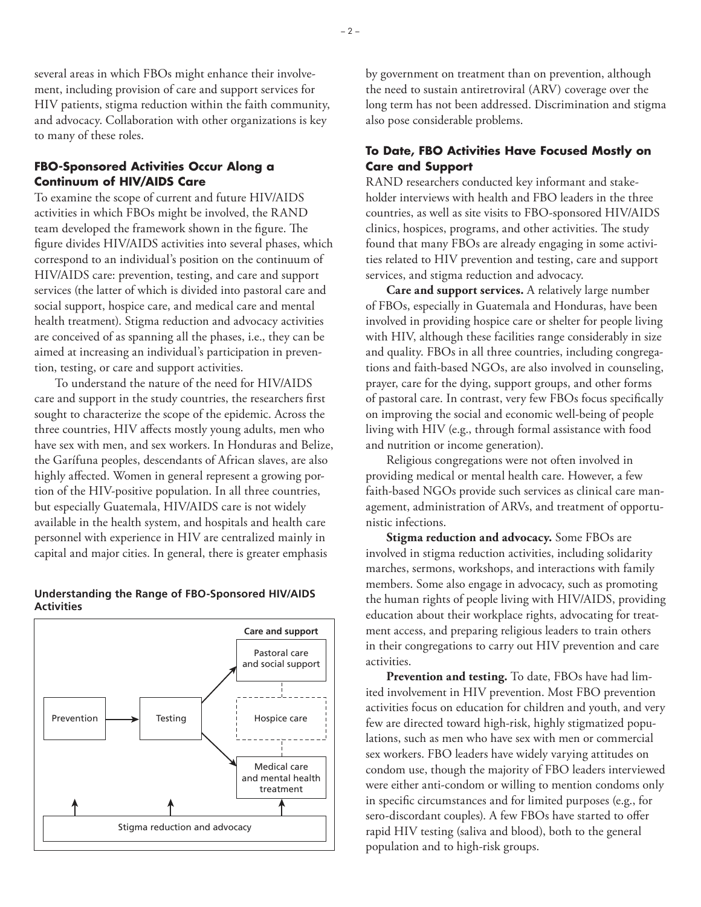– 2 –

several areas in which FBOs might enhance their involvement, including provision of care and support services for HIV patients, stigma reduction within the faith community, and advocacy. Collaboration with other organizations is key to many of these roles.

#### **FBO-Sponsored Activities Occur Along a Continuum of HIV/AIDS Care**

To examine the scope of current and future HIV/AIDS activities in which FBOs might be involved, the RAND team developed the framework shown in the figure. The figure divides HIV/AIDS activities into several phases, which correspond to an individual's position on the continuum of HIV/AIDS care: prevention, testing, and care and support services (the latter of which is divided into pastoral care and social support, hospice care, and medical care and mental health treatment). Stigma reduction and advocacy activities are conceived of as spanning all the phases, i.e., they can be aimed at increasing an individual's participation in prevention, testing, or care and support activities.

To understand the nature of the need for HIV/AIDS care and support in the study countries, the researchers first sought to characterize the scope of the epidemic. Across the three countries, HIV affects mostly young adults, men who have sex with men, and sex workers. In Honduras and Belize, the Garífuna peoples, descendants of African slaves, are also highly affected. Women in general represent a growing portion of the HIV-positive population. In all three countries, but especially Guatemala, HIV/AIDS care is not widely available in the health system, and hospitals and health care personnel with experience in HIV are centralized mainly in capital and major cities. In general, there is greater emphasis

#### **Understanding the Range of FBO-Sponsored HIV/AIDS Activities**



by government on treatment than on prevention, although the need to sustain antiretroviral (ARV) coverage over the long term has not been addressed. Discrimination and stigma also pose considerable problems.

#### **To Date, FBO Activities Have Focused Mostly on Care and Support**

RAND researchers conducted key informant and stakeholder interviews with health and FBO leaders in the three countries, as well as site visits to FBO-sponsored HIV/AIDS clinics, hospices, programs, and other activities. The study found that many FBOs are already engaging in some activities related to HIV prevention and testing, care and support services, and stigma reduction and advocacy.

**Care and support services.** A relatively large number of FBOs, especially in Guatemala and Honduras, have been involved in providing hospice care or shelter for people living with HIV, although these facilities range considerably in size and quality. FBOs in all three countries, including congregations and faith-based NGOs, are also involved in counseling, prayer, care for the dying, support groups, and other forms of pastoral care. In contrast, very few FBOs focus specifically on improving the social and economic well-being of people living with HIV (e.g., through formal assistance with food and nutrition or income generation).

Religious congregations were not often involved in providing medical or mental health care. However, a few faith-based NGOs provide such services as clinical care management, administration of ARVs, and treatment of opportunistic infections.

**Stigma reduction and advocacy.** Some FBOs are involved in stigma reduction activities, including solidarity marches, sermons, workshops, and interactions with family members. Some also engage in advocacy, such as promoting the human rights of people living with HIV/AIDS, providing education about their workplace rights, advocating for treatment access, and preparing religious leaders to train others in their congregations to carry out HIV prevention and care activities.

**Prevention and testing.** To date, FBOs have had limited involvement in HIV prevention. Most FBO prevention activities focus on education for children and youth, and very few are directed toward high-risk, highly stigmatized populations, such as men who have sex with men or commercial sex workers. FBO leaders have widely varying attitudes on condom use, though the majority of FBO leaders interviewed were either anti-condom or willing to mention condoms only in specific circumstances and for limited purposes (e.g., for sero-discordant couples). A few FBOs have started to offer rapid HIV testing (saliva and blood), both to the general population and to high-risk groups.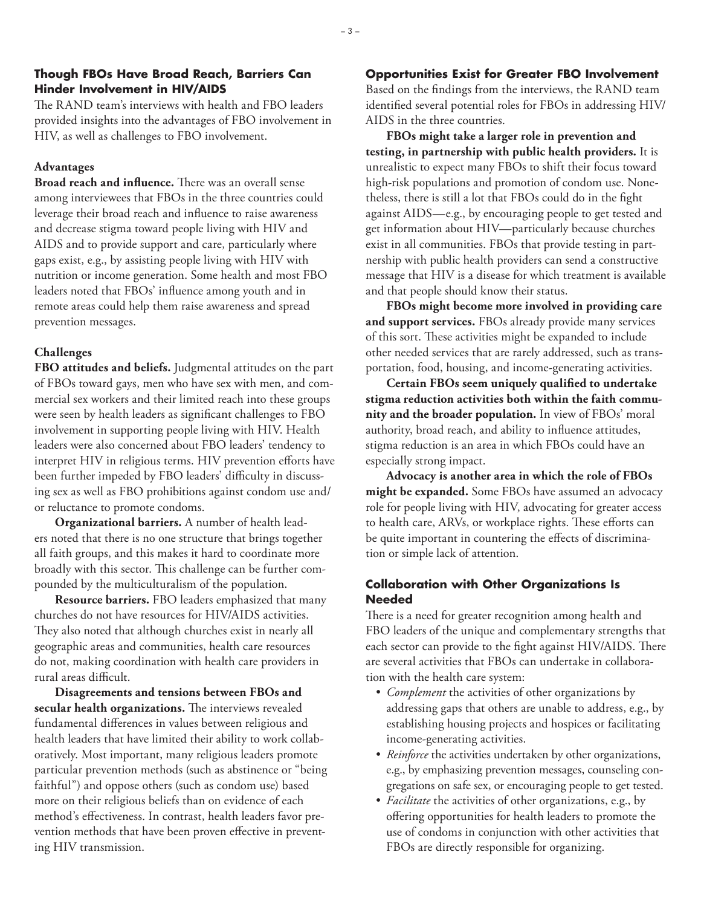#### **Though FBOs Have Broad Reach, Barriers Can Hinder Involvement in HIV/AIDS**

The RAND team's interviews with health and FBO leaders provided insights into the advantages of FBO involvement in HIV, as well as challenges to FBO involvement.

#### **Advantages**

**Broad reach and influence.** There was an overall sense among interviewees that FBOs in the three countries could leverage their broad reach and influence to raise awareness and decrease stigma toward people living with HIV and AIDS and to provide support and care, particularly where gaps exist, e.g., by assisting people living with HIV with nutrition or income generation. Some health and most FBO leaders noted that FBOs' influence among youth and in remote areas could help them raise awareness and spread prevention messages.

#### **Challenges**

**FBO attitudes and beliefs.** Judgmental attitudes on the part of FBOs toward gays, men who have sex with men, and commercial sex workers and their limited reach into these groups were seen by health leaders as significant challenges to FBO involvement in supporting people living with HIV. Health leaders were also concerned about FBO leaders' tendency to interpret HIV in religious terms. HIV prevention efforts have been further impeded by FBO leaders' difficulty in discussing sex as well as FBO prohibitions against condom use and/ or reluctance to promote condoms.

**Organizational barriers.** A number of health leaders noted that there is no one structure that brings together all faith groups, and this makes it hard to coordinate more broadly with this sector. This challenge can be further compounded by the multiculturalism of the population.

**Resource barriers.** FBO leaders emphasized that many churches do not have resources for HIV/AIDS activities. They also noted that although churches exist in nearly all geographic areas and communities, health care resources do not, making coordination with health care providers in rural areas difficult.

**Disagreements and tensions between FBOs and secular health organizations.** The interviews revealed fundamental differences in values between religious and health leaders that have limited their ability to work collaboratively. Most important, many religious leaders promote particular prevention methods (such as abstinence or "being faithful") and oppose others (such as condom use) based more on their religious beliefs than on evidence of each method's effectiveness. In contrast, health leaders favor prevention methods that have been proven effective in preventing HIV transmission.

#### **Opportunities Exist for Greater FBO Involvement**

Based on the findings from the interviews, the RAND team identified several potential roles for FBOs in addressing HIV/ AIDS in the three countries.

**FBOs might take a larger role in prevention and testing, in partnership with public health providers.** It is unrealistic to expect many FBOs to shift their focus toward high-risk populations and promotion of condom use. Nonetheless, there is still a lot that FBOs could do in the fight against AIDS—e.g., by encouraging people to get tested and get information about HIV—particularly because churches exist in all communities. FBOs that provide testing in partnership with public health providers can send a constructive message that HIV is a disease for which treatment is available and that people should know their status.

**FBOs might become more involved in providing care and support services.** FBOs already provide many services of this sort. These activities might be expanded to include other needed services that are rarely addressed, such as transportation, food, housing, and income-generating activities.

**Certain FBOs seem uniquely qualified to undertake stigma reduction activities both within the faith community and the broader population.** In view of FBOs' moral authority, broad reach, and ability to influence attitudes, stigma reduction is an area in which FBOs could have an especially strong impact.

**Advocacy is another area in which the role of FBOs might be expanded.** Some FBOs have assumed an advocacy role for people living with HIV, advocating for greater access to health care, ARVs, or workplace rights. These efforts can be quite important in countering the effects of discrimination or simple lack of attention.

#### **Collaboration with Other Organizations Is Needed**

There is a need for greater recognition among health and FBO leaders of the unique and complementary strengths that each sector can provide to the fight against HIV/AIDS. There are several activities that FBOs can undertake in collaboration with the health care system:

- • *Complement* the activities of other organizations by addressing gaps that others are unable to address, e.g., by establishing housing projects and hospices or facilitating income-generating activities.
- • *Reinforce* the activities undertaken by other organizations, e.g., by emphasizing prevention messages, counseling congregations on safe sex, or encouraging people to get tested.
- *Facilitate* the activities of other organizations, e.g., by offering opportunities for health leaders to promote the use of condoms in conjunction with other activities that FBOs are directly responsible for organizing.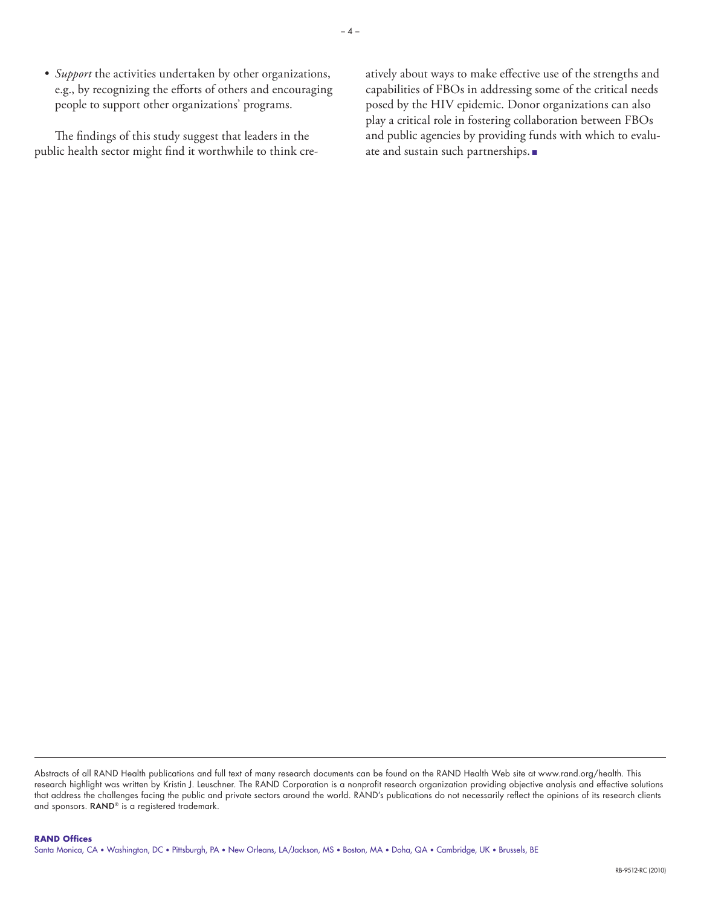• *Support* the activities undertaken by other organizations, e.g., by recognizing the efforts of others and encouraging people to support other organizations' programs.

The findings of this study suggest that leaders in the public health sector might find it worthwhile to think creatively about ways to make effective use of the strengths and capabilities of FBOs in addressing some of the critical needs posed by the HIV epidemic. Donor organizations can also play a critical role in fostering collaboration between FBOs and public agencies by providing funds with which to evaluate and sustain such partnerships. ■

Abstracts of all RAND Health publications and full text of many research documents can be found on the RAND Health Web site at [www.rand.org/health.](http://www.rand.org/health) This research highlight was written by Kristin J. Leuschner. The RAND Corporation is a nonprofit research organization providing objective analysis and effective solutions that address the challenges facing the public and private sectors around the world. RAND's publications do not necessarily reflect the opinions of its research clients and sponsors. RAND<sup>®</sup> is a registered trademark.